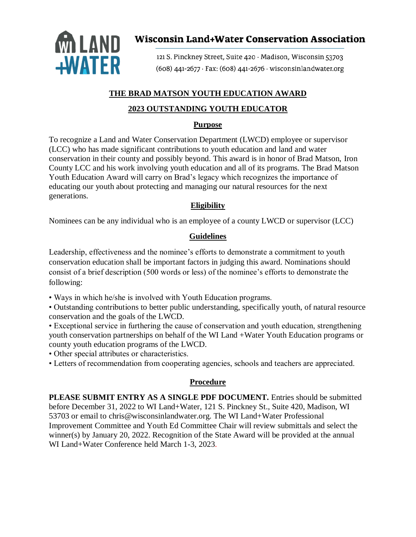

# **Wisconsin Land+Water Conservation Association**

121 S. Pinckney Street, Suite 420 · Madison, Wisconsin 53703 (608) 441-2677 · Fax: (608) 441-2676 · wisconsinlandwater.org

#### **THE BRAD MATSON YOUTH EDUCATION AWARD**

#### **2023 OUTSTANDING YOUTH EDUCATOR**

#### **Purpose**

To recognize a Land and Water Conservation Department (LWCD) employee or supervisor (LCC) who has made significant contributions to youth education and land and water conservation in their county and possibly beyond. This award is in honor of Brad Matson, Iron County LCC and his work involving youth education and all of its programs. The Brad Matson Youth Education Award will carry on Brad's legacy which recognizes the importance of educating our youth about protecting and managing our natural resources for the next generations.

#### **Eligibility**

Nominees can be any individual who is an employee of a county LWCD or supervisor (LCC)

### **Guidelines**

Leadership, effectiveness and the nominee's efforts to demonstrate a commitment to youth conservation education shall be important factors in judging this award. Nominations should consist of a brief description (500 words or less) of the nominee's efforts to demonstrate the following:

• Ways in which he/she is involved with Youth Education programs.

• Outstanding contributions to better public understanding, specifically youth, of natural resource conservation and the goals of the LWCD.

• Exceptional service in furthering the cause of conservation and youth education, strengthening youth conservation partnerships on behalf of the WI Land +Water Youth Education programs or county youth education programs of the LWCD.

• Other special attributes or characteristics.

• Letters of recommendation from cooperating agencies, schools and teachers are appreciated.

## **Procedure**

**PLEASE SUBMIT ENTRY AS A SINGLE PDF DOCUMENT.** Entries should be submitted before December 31, 2022 to WI Land+Water, 121 S. Pinckney St., Suite 420, Madison, WI 53703 or email to chris@wisconsinlandwater.org. The WI Land+Water Professional Improvement Committee and Youth Ed Committee Chair will review submittals and select the winner(s) by January 20, 2022. Recognition of the State Award will be provided at the annual WI Land+Water Conference held March 1-3, 2023.